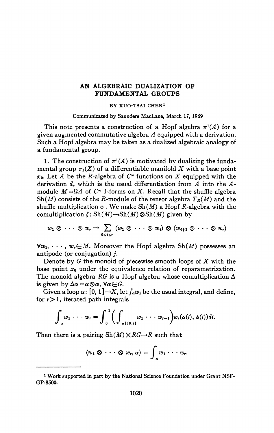## **AN ALGEBRAIC DUALIZATION OF FUNDAMENTAL GROUPS**

## **BY KUO-TSAI CHEN<sup>1</sup>**

**Communicated by Saunders MacLane, March 17, 1969** 

This note presents a construction of a Hopf algebra  $\pi$ <sup>1</sup>(A) for a given augmented commutative algebra *A* equipped with a derivation. Such a Hopf algebra may be taken as a dualized algebraic analogy of a fundamental group.

1. The construction of  $\pi^1(A)$  is motivated by dualizing the fundamental group  $\pi_1(X)$  of a differentiable manifold X with a base point  $x_0$ . Let *A* be the *R*-algebra of  $C^{\infty}$  functions on *X* equipped with the derivation d, which is the usual differentiation from *A* into the *A*module  $M = \Omega A$  of  $C^{\infty}$  1-forms on X. Recall that the shuffle algebra Sh(*M*) consists of the *R*-module of the tensor algebra  $T_R(M)$  and the shuffle multiplication  $\circ$ . We make  $\text{Sh}(M)$  a Hopf R-algebra with the comultiplication  $\zeta$ : Sh(*M*) $\rightarrow$ Sh(*M*)  $\otimes$ Sh(*M*) given by

$$
w_1\otimes\cdots\otimes w_r\mapsto \sum_{0\leq i\leq r} (w_1\otimes\cdots\otimes w_i)\otimes (w_{i+1}\otimes\cdots\otimes w_r)
$$

 $\forall w_1, \dots, w_r \in M$ . Moreover the Hopf algebra Sh(M) possesses an antipode (or conjugation)  $i$ .

Denote by *G* the monoid of piecewise smooth loops of *X* with the base point *Xo* under the equivalence relation of reparametrization. The monoid algebra  $RG$  is a Hopf algebra whose comultiplication  $\Delta$ is given by  $\Delta \alpha = \alpha \otimes \alpha$ ,  $\forall \alpha \in G$ .

Given a loop  $\alpha$ :  $[0, 1] \rightarrow X$ , let  $\int_{\alpha} w_1$  be the usual integral, and define, for  $r > 1$ , iterated path integrals

$$
\int_{\alpha} w_1 \cdots w_r = \int_0^1 \bigg( \int_{\alpha \mid [0,t]} w_1 \cdots w_{r-1} \bigg) w_r(\alpha(t), \dot{\alpha}(t)) dt.
$$

Then there is a pairing  $\text{Sh}(M) \times RG \rightarrow R$  such that

$$
\langle w_1\otimes\cdots\otimes w_r,\alpha\rangle=\int_{\alpha}w_1\cdots w_r.
$$

<sup>&</sup>lt;sup>1</sup> Work supported in part by the National Science Foundation under Grant NSF-**GP-8500.**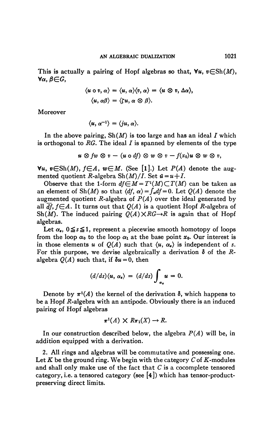This is actually a pairing of Hopf algebras so that,  $\forall u, v \in Sh(M)$ ,  $\forall \alpha, \beta \in G$ ,

$$
\langle u \circ v, \alpha \rangle = \langle u, \alpha \rangle \langle v, \alpha \rangle = \langle u \otimes v, \Delta \alpha \rangle,
$$
  

$$
\langle u, \alpha \beta \rangle = \langle \zeta u, \alpha \otimes \beta \rangle.
$$

**Moreover** 

$$
\langle u, \alpha^{-1} \rangle = \langle ju, \alpha \rangle.
$$

In the above pairing,  $\text{Sh}(M)$  is too large and has an ideal *I* which **is orthogonal to** *RG.* **The ideal I is spanned by elements of the type** 

$$
u\otimes fw\otimes v-(u\circ df)\otimes w\otimes v-f(x_0)u\otimes w\otimes v,
$$

 $\forall u, v \in Sh(M), f \in A, w \in M.$  (See [1].) Let  $P(A)$  denote the augmented quotient *R*-algebra  $\text{Sh}(M)/I$ . Set  $\bar{u} = u + I$ .

Observe that the 1-form  $df \in M = T^1(M) \subset T(M)$  can be taken as an element of Sh $(M)$  so that  $\langle df, \alpha \rangle = \int_{\alpha} df = 0$ . Let  $Q(A)$  denote the augmented quotient *R*-algebra of  $P(A)$  over the ideal generated by all  $df$ ,  $f\in A$ . It turns out that  $O(A)$  is a quotient Hopf R-algebra of Sh(*M*). The induced pairing  $O(A) \times RG \rightarrow R$  is again that of Hopf **algebras.** 

Let  $\alpha_{s}$ ,  $0 \leq s \leq 1$ , represent a piecewise smooth homotopy of loops **from the loop**  $\alpha_0$  **to the loop**  $\alpha_1$  **at the base point**  $x_0$ **. Our interest is** in those elements *u* of  $O(A)$  such that  $\langle u, \alpha_{s} \rangle$  is independent of *s*. For this purpose, we devise algebraically a derivation  $\delta$  of the *R*algebra  $O(A)$  such that, if  $\delta u = 0$ , then

$$
(d/ds)\langle u, \alpha_s \rangle = (d/ds) \int_{\alpha_s} u = 0.
$$

Denote by  $\pi$ <sup>1</sup>(*A*) the kernel of the derivation  $\delta$ , which happens to be a Hopf R-algebra with an antipode. Obviously there is an induced **pairing of Hopf algebras** 

$$
\pi^1(A) \times R\pi_1(X) \to R.
$$

**In our construction described below, the algebra** *P(A)* **will be, in addition equipped with a derivation.** 

**2. All rings and algebras will be commutative and possessing one.**  Let  $K$  be the ground ring. We begin with the category  $C$  of  $K$ -modules **and shall only make use of the fact that** *C* **is a cocomplete tensored category, i.e. a tensored category (see [4]) which has tensor-productpreserving direct limits.**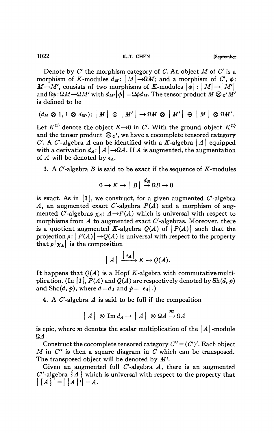1022 **K.-T. CHEN September** 

Denote by C' the morphism category of C. An object *M* of C' is a morphism of K-modules  $d_M$ :  $|M| \rightarrow \Omega M$ ; and a morphism of C',  $\phi$ :  $iM \rightarrow M'$ , consists of two morphisms of K-modules  $|\phi| : |M| \rightarrow |M'|$ and  $\Omega \phi : \Omega M \rightarrow \Omega M'$  with  $d_{M'}|\phi| = \Omega \phi d_M$ . The tensor product  $M \otimes_{\mathcal{C}} M'$ is defined to be

 $(d_M \otimes 1, 1 \otimes d_{M'})$ :  $|M| \otimes |M'| \rightarrow \Omega M \otimes |M'| \oplus |M| \otimes \Omega M'$ .

Let  $K^{(1)}$  denote the object  $K \rightarrow 0$  in C'. With the ground object  $K^{(1)}$ and the tensor product  $\mathcal{D}_{c'}$ , we have a cocomplete tensored category C'. A C'-algebra A can be identified with a K-algebra  $|A|$  equipped with a derivation  $d_A: |A| \rightarrow \Omega A$ . If A is augmented, the augmentation of *A* will be denoted by *€A-*

3. A  $C'$ -algebra  $B$  is said to be exact if the sequence of  $K$ -modules

$$
0 \to K \to |B| \stackrel{d_B}{\to} \Omega B \to 0
$$

is exact. As in  $\begin{bmatrix} 1 \end{bmatrix}$ , we construct, for a given augmented C'-algebra *A*, an augmented exact C'-algebra  $P(A)$  and a morphism of augmented C'-algebras  $\chi_A: A \rightarrow P(A)$  which is universal with respect to morphisms from *A* to augmented exact C'-algebras. Moreover, there is a quotient augmented K-algebra  $Q(A)$  of  $|P(A)|$  such that the projection  $\rho: |P(A)| \rightarrow Q(A)$  is universal with respect to the property that  $\rho | \chi_A |$  is the composition

$$
|A| \xrightarrow{\left| \epsilon_A \right|} K \to Q(A).
$$

It happens that  $Q(A)$  is a Hopf K-algebra with commutative multiplication. (In  $\lceil 1 \rceil$ ,  $P(A)$  and  $Q(A)$  are respectively denoted by  $\text{Sh}(d, p)$ and Shc(d, p), where  $d = d_A$  and  $p = |\epsilon_A|$ .)

4. A C'-algebra *A* is said to be full if the composition

$$
|A| \otimes \operatorname{Im} d_A \to |A| \otimes \Omega A \xrightarrow{m} \Omega A
$$

is epic, where *m* denotes the scalar multiplication of the  $|A|$ -module  $\Omega A$ .

Construct the cocomplete tensored category  $C'' = (C')'$ . Each object *M* in C'' is then a square diagram in C which can be transposed. The transposed object will be denoted by  $M^t$ .

Given an augmented full C'-algebra *A,* there is an augmented  $C''$ -algebra  $\{A\}$  which is universal with respect to the property that  $|\{A\}| = |\{A\}^t| = A.$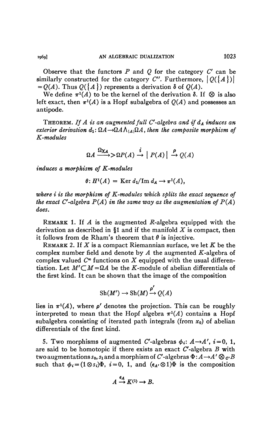Observe that the functors *P* and *Q* for the category *C* can be similarly constructed for the category C''. Furthermore,  $|Q(\lbrace A \rbrace)|$  $= Q(A)$ . Thus  $Q({A})$  represents a derivation  $\delta$  of  $Q(A)$ .

We define  $\pi^1(A)$  to be the kernel of the derivation  $\delta$ . If  $\otimes$  is also left exact, then  $\pi$ <sup>*l*</sup>(*A*) is a Hopf subalgebra of  $Q(A)$  and possesses an antipode.

THEOREM. *If A is an augmented full C<sup>f</sup> -algebra and if dA induces an exterior derivation*  $d_1$ :  $\Omega A \rightarrow \Omega A \wedge_{|A|} \Omega A$ , then the composite morphism of *K-modules* 

$$
\Omega A \xrightarrow{\Omega \chi_A} \supset \Omega P(A) \xrightarrow{i} | P(A) | \xrightarrow{\rho} Q(A)
$$

*induces a morphism of K-modules* 

$$
\theta\colon H^1(A) = \operatorname{Ker} d_1/\operatorname{Im} d_A \to \pi^1(A),
$$

*where i is the morphism of K-modules which splits the exact sequence of the exact C'-algebra*  $P(A)$  *in the same way as the augmentation of*  $P(A)$ *does.* 

REMARK 1. If  $\vec{A}$  is the augmented  $\vec{R}$ -algebra equipped with the derivation as described in §1 and if the manifold *X* is compact, then it follows from de Rham's theorem that  $\theta$  is injective.

REMARK 2. If *X* is a compact Riemannian surface, we let *K* be the complex number field and denote by  $A$  the augmented  $K$ -algebra of complex valued  $C^{\infty}$  functions on X equipped with the usual differentiation. Let  $M' \subset M = \Omega A$  be the K-module of abelian differentials of the first kind. It can be shown that the image of the composition

$$
Sh(M') \to Sh(M) \xrightarrow{\rho'} Q(A)
$$

lies in  $\pi$ <sup>*l*</sup>(*A*), where  $\rho'$  denotes the projection. This can be roughly interpreted to mean that the Hopf algebra  $\pi$ <sup>1</sup>(*A*) contains a Hopf subalgebra consisting of iterated path integrals (from  $x_0$ ) of abelian differentials of the first kind.

5. Two morphisms of augmented C'-algebras  $\phi_i$ :  $A \rightarrow A'$ ,  $i = 0, 1$ , are said to be homotopic if there exists an exact C'-algebra *B* with two augmentations  $s_0$ ,  $s_1$  and a morphism of C'-algebras  $\Phi: A \rightarrow A' \otimes_{\mathcal{O}} B$ such that  $\phi_i=(1\otimes s_i)\Phi$ ,  $i=0, 1$ , and  $(\epsilon_{A'}\otimes 1)\Phi$  is the composition

$$
A \xrightarrow{\epsilon_A} K^{(1)} \to B.
$$